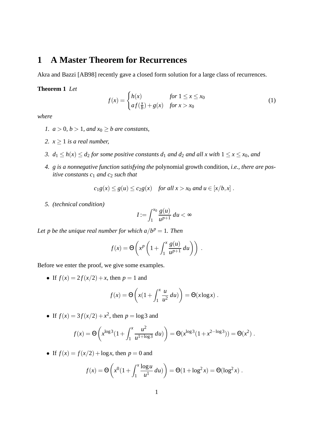## **1 A Master Theorem for Recurrences**

Akra and Bazzi [AB98] recently gave a closed form solution for a large class of recurrences.

**Theorem 1** *Let*

$$
f(x) = \begin{cases} h(x) & \text{for } 1 \le x \le x_0 \\ af(\frac{x}{b}) + g(x) & \text{for } x > x_0 \end{cases}
$$
 (1)

*where*

- *1.*  $a > 0$ ,  $b > 1$ , and  $x<sub>0</sub> > b$  are constants,
- 2.  $x \geq 1$  *is a real number,*
- *3.*  $d_1 \leq h(x) \leq d_2$  *for some positive constants*  $d_1$  *and*  $d_2$  *and all x with*  $1 \leq x \leq x_0$ *, and*
- *4. g is a nonnegative function satisfying the* polynomial growth condition*, i.e., there are positive constants c*<sup>1</sup> *and c*<sup>2</sup> *such that*

 $c_1 g(x) \le g(u) \le c_2 g(x)$  *for all*  $x > x_0$  *and*  $u \in [x/b, x]$ *.* 

*5. (technical condition)*

$$
I:=\int_1^{x_0}\frac{g(u)}{u^{p+1}}\,du<\infty
$$

Let p be the unique real number for which  $a/b^p = 1$ . Then

$$
f(x) = \Theta\left(x^p \left(1 + \int_1^x \frac{g(u)}{u^{p+1}} du\right)\right).
$$

Before we enter the proof, we give some examples.

• If  $f(x) = 2f(x/2) + x$ , then  $p = 1$  and

$$
f(x) = \Theta\left(x\left(1 + \int_1^x \frac{u}{u^2} du\right)\right) = \Theta(x \log x) .
$$

• If  $f(x) = 3f(x/2) + x^2$ , then  $p = \log 3$  and

$$
f(x) = \Theta\left(x^{\log 3}(1 + \int_1^x \frac{u^2}{u^{1+\log 3}} du)\right) = \Theta(x^{\log 3}(1 + x^{2-\log 3})) = \Theta(x^2).
$$

• If  $f(x) = f(x/2) + \log x$ , then  $p = 0$  and

$$
f(x) = \Theta\left(x^0(1 + \int_1^x \frac{\log u}{u^1} du)\right) = \Theta(1 + \log^2 x) = \Theta(\log^2 x).
$$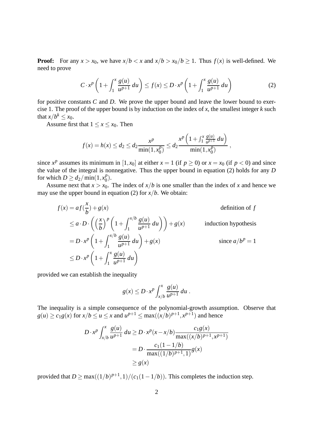**Proof:** For any  $x > x_0$ , we have  $x/b < x$  and  $x/b > x_0/b > 1$ . Thus  $f(x)$  is well-defined. We need to prove

$$
C \cdot x^p \left( 1 + \int_1^x \frac{g(u)}{u^{p+1}} du \right) \le f(x) \le D \cdot x^p \left( 1 + \int_1^x \frac{g(u)}{u^{p+1}} du \right) \tag{2}
$$

for positive constants *C* and *D*. We prove the upper bound and leave the lower bound to exercise 1. The proof of the upper bound is by induction on the index of *x*, the smallest integer *k* such that  $x/b^k \leq x_0$ .

Assume first that  $1 \le x \le x_0$ . Then

$$
f(x) = h(x) \le d_2 \le d_2 \frac{x^p}{\min(1, x_0^p)} \le d_2 \frac{x^p \left(1 + \int_1^x \frac{g(u)}{u^{p+1}} du\right)}{\min(1, x_0^p)},
$$

since  $x^p$  assumes its minimum in [1,  $x_0$ ] at either  $x = 1$  (if  $p \ge 0$ ) or  $x = x_0$  (if  $p < 0$ ) and since the value of the integral is nonnegative. Thus the upper bound in equation (2) holds for any *D* for which  $D \ge d_2 / \min(1, x_0^p)$  $_0^p$ ).

Assume next that  $x > x_0$ . The index of  $x/b$  is one smaller than the index of x and hence we may use the upper bound in equation (2) for  $x/b$ . We obtain:

$$
f(x) = af\left(\frac{x}{b}\right) + g(x)
$$
 definition of  $f$   
\n
$$
\leq a \cdot D \cdot \left( \left(\frac{x}{b}\right)^p \left(1 + \int_1^{x/b} \frac{g(u)}{u^{p+1}} du\right) \right) + g(x)
$$
 induction hypothesis  
\n
$$
= D \cdot x^p \left(1 + \int_1^{x/b} \frac{g(u)}{u^{p+1}} du\right) + g(x)
$$
since  $a/b^p = 1$   
\n
$$
\leq D \cdot x^p \left(1 + \int_1^x \frac{g(u)}{u^{p+1}} du\right)
$$

provided we can establish the inequality

$$
g(x) \le D \cdot x^p \int_{x/b}^x \frac{g(u)}{u^{p+1}} du.
$$

The inequality is a simple consequence of the polynomial-growth assumption. Observe that  $g(u) \ge c_1 g(x)$  for  $x/b \le u \le x$  and  $u^{p+1} \le \max((x/b)^{p+1}, x^{p+1})$  and hence

$$
D \cdot x^{p} \int_{x/b}^{x} \frac{g(u)}{u^{p+1}} du \ge D \cdot x^{p} (x - x/b) \frac{c_{1}g(x)}{\max((x/b)^{p+1}, x^{p+1})}
$$
  
=  $D \cdot \frac{c_{1}(1 - 1/b)}{\max((1/b)^{p+1}, 1)} g(x)$   
 $\ge g(x)$ 

provided that  $D \ge \max((1/b)^{p+1}, 1)/(c_1(1-1/b))$ . This completes the induction step.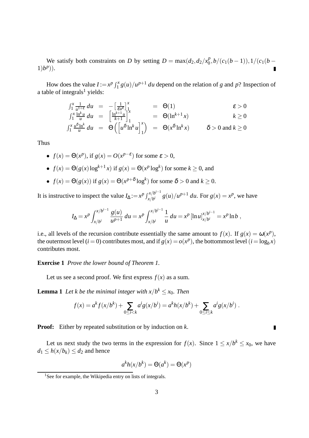We satisfy both constraints on *D* by setting  $D = \max(d_2, d_2/x_0^p)$  $\binom{p}{0}, b/(c_1(b-1)), 1/(c_1(b-1))$  $1)b^{p}$ ).

How does the value  $I := x^p \int_1^x g(u)/u^{p+1} du$  depend on the relation of *g* and *p*? Inspection of a table of integrals<sup>1</sup> yields:

$$
\int_{1}^{x} \frac{1}{u^{1+\epsilon}} du = -\left[\frac{1}{\epsilon u^{\epsilon}}\right]_{1}^{x} = \Theta(1) \qquad \epsilon > 0
$$
\n
$$
\int_{1}^{x} \frac{\ln^{k} u}{u} du = \left[\frac{\ln^{k+1} u}{k+1}\right]_{1}^{x} = \Theta(\ln^{k+1} x) \qquad k \ge 0
$$
\n
$$
\int_{1}^{x} \frac{u^{\delta} \ln^{k}}{u} du = \Theta\left(\left[u^{\delta} \ln^{k} u\right]_{1}^{x}\right) = \Theta(x^{\delta} \ln^{k} x) \qquad \delta > 0 \text{ and } k \ge 0
$$

Thus

• 
$$
f(x) = \Theta(x^p)
$$
, if  $g(x) = O(x^{p-\epsilon})$  for some  $\epsilon > 0$ ,

• 
$$
f(x) = \Theta(g(x) \log^{k+1} x)
$$
 if  $g(x) = \Theta(x^p \log^k)$  for some  $k \ge 0$ , and

• 
$$
f(x) = \Theta(g(x))
$$
 if  $g(x) = \Theta(x^{p+\delta} \log^k)$  for some  $\delta > 0$  and  $k \ge 0$ .

It is instructive to inspect the value  $I_{\Delta} := x^p \int_{x/h}^{x/h^{i-1}}$  $\int_{x/b^i}^{x/b^{i-1}} g(u)/u^{p+1} du$ . For  $g(x) = x^p$ , we have

$$
I_{\Delta} = x^p \int_{x/b^i}^{x/b^{i-1}} \frac{g(u)}{u^{p+1}} du = x^p \int_{x/b^i}^{x/b^{i-1}} \frac{1}{u} du = x^p [\ln u]_{x/b^i}^{x/b^{i-1}} = x^p \ln b,
$$

i.e., all levels of the recursion contribute essentially the same amount to  $f(x)$ . If  $g(x) = \omega(x^p)$ , the outermost level (*i* = 0) contributes most, and if  $g(x) = o(x^p)$ , the bottommost level (*i* = log<sub>*b*</sub> $x$ ) contributes most.

**Exercise 1** *Prove the lower bound of Theorem 1.*

Let us see a second proof. We first express  $f(x)$  as a sum.

**Lemma 1** Let k be the minimal integer with  $x/b^k \le x_0$ . Then

$$
f(x) = a^{k} f(x/b^{k}) + \sum_{0 \leq i < k} a^{i} g(x/b^{i}) = a^{k} h(x/b^{k}) + \sum_{0 \leq i \leq k} a^{i} g(x/b^{i}).
$$

**Proof:** Either by repeated substitution or by induction on *k*.

Let us next study the two terms in the expression for  $f(x)$ . Since  $1 \le x/b^k \le x_0$ , we have  $d_1 \leq h(x/b_k) \leq d_2$  and hence

 $\blacksquare$ 

$$
a^k h(x/b^k) = \Theta(a^k) = \Theta(x^p)
$$

<sup>&</sup>lt;sup>1</sup>See for example, the Wikipedia entry on lists of integrals.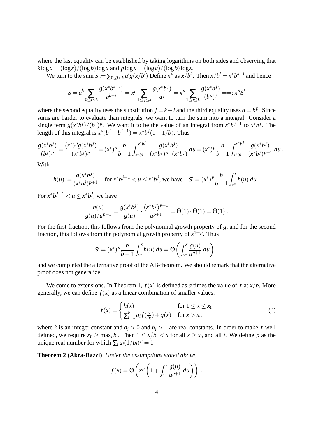where the last equality can be established by taking logarithms on both sides and observing that  $k \log a = (\log x) / (\log b) \log a$  and  $p \log x = (\log a) / (\log b) \log x$ .

We turn to the sum  $S := \sum_{0 \le i < k} a^i g(x/b^i)$  Define  $x^*$  as  $x/b^k$ . Then  $x/b^i = x^*b^{k-i}$  and hence

$$
S = a^k \sum_{0 \le i < k} \frac{g(x^* b^{k-i})}{a^{k-i}} = x^p \sum_{1 \le j \le k} \frac{g(x^* b^j)}{a^j} = x^p \sum_{1 \le j \le k} \frac{g(x^* b^j)}{(b^p)^j} = x^p S'
$$

where the second equality uses the substitution  $j = k - i$  and the third equality uses  $a = b^p$ . Since sums are harder to evaluate than integrals, we want to turn the sum into a integral. Consider a single term  $g(x^*b^j)/(b^j)^p$ . We want it to be the value of an integral from  $x^*b^{j-1}$  to  $x^*b^j$ . The length of this integral is  $x^*(b^j - b^{j-1}) = x^*b^j(1-1/b)$ . Thus

$$
\frac{g(x^*b^j)}{(b^j)^p} = \frac{(x^*)^p g(x^*b^j)}{(x^*b^j)^p} = (x^*)^p \frac{b}{b-1} \int_{x^*b^{j-1}}^{x^*b^j} \frac{g(x^*b^j)}{(x^*b^j)^p \cdot (x^*b^j)} du = (x^*)^p \frac{b}{b-1} \int_{x^*b^{j-1}}^{x^*b^j} \frac{g(x^*b^j)}{(x^*b^j)^{p+1}} du.
$$

With

$$
h(u) := \frac{g(x^*b^j)}{(x^*b^j)^{p+1}} \quad \text{for } x^*b^{j-1} < u \leq x^*b^j \text{, we have } \quad S' = (x^*)^p \frac{b}{b-1} \int_{x^*}^x h(u) \, du \, .
$$

For  $x^*b^{j-1} < u \leq x^*b^j$ , we have

$$
\frac{h(u)}{g(u)/u^{p+1}} = \frac{g(x^*b^j)}{g(u)} \cdot \frac{(x^*b^j)^{p+1}}{u^{p+1}} = \Theta(1) \cdot \Theta(1) = \Theta(1) .
$$

For the first fraction, this follows from the polynomial growth property of *g*, and for the second fraction, this follows from the polynomial growth property of  $x^{1+p}$ . Thus

$$
S' = (x^*)^p \frac{b}{b-1} \int_{x^*}^x h(u) \, du = \Theta \left( \int_{x^*}^x \frac{g(u)}{u^{p+1}} \, du \right) \, .
$$

and we completed the alternative proof of the AB-theorem. We should remark that the alternative proof does not generalize.

We come to extensions. In Theorem 1,  $f(x)$  is defined as *a* times the value of f at  $x/b$ . More generally, we can define  $f(x)$  as a linear combination of smaller values.

$$
f(x) = \begin{cases} h(x) & \text{for } 1 \le x \le x_0 \\ \sum_{i=1}^k a_i f(\frac{x}{b_i}) + g(x) & \text{for } x > x_0 \end{cases}
$$
 (3)

where *k* is an integer constant and  $a_i > 0$  and  $b_i > 1$  are real constants. In order to make *f* well defined, we require  $x_0 \ge \max_i b_i$ . Then  $1 \le x/b_i < x$  for all  $x \ge x_0$  and all *i*. We define *p* as the unique real number for which  $\sum_i a_i (1/b_i)^p = 1$ .

**Theorem 2 (Akra-Bazzi)** *Under the assumptions stated above,*

$$
f(x) = \Theta\left(x^p \left(1 + \int_1^x \frac{g(u)}{u^{p+1}} du\right)\right).
$$